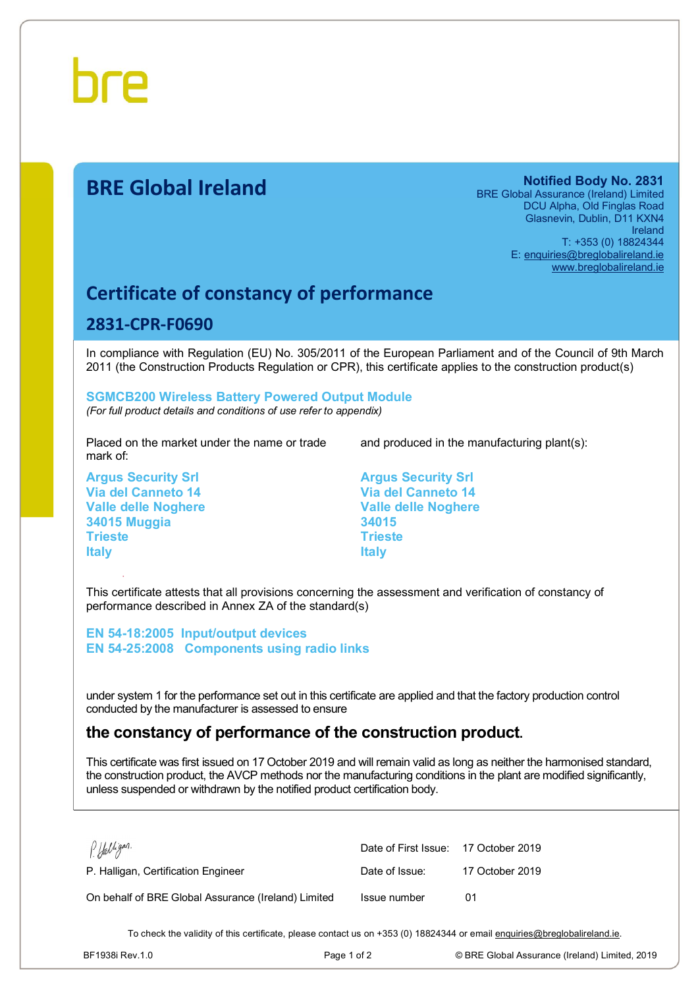

# **BRE Global Ireland Notified Body No. 2831**

BRE Global Assurance (Ireland) Limited DCU Alpha, Old Finglas Road Glasnevin, Dublin, D11 KXN4 Ireland T: +353 (0) 18824344 E: [enquiries@breglobalireland.ie](mailto:enquiries@breglobalireland.ie)  [www.breglobalireland.ie](http://www.breglobalireland.ie)

## **Certificate of constancy of performance**

### **2831-CPR-F0690**

In compliance with Regulation (EU) No. 305/2011 of the European Parliament and of the Council of 9th March 2011 (the Construction Products Regulation or CPR), this certificate applies to the construction product(s)

#### **SGMCB200 Wireless Battery Powered Output Module**  *(For full product details and conditions of use refer to appendix)*

Placed on the market under the name or trade mark of:

**Argus Security Srl Via del Canneto 14 Valle delle Noghere 34015 Muggia Trieste Italy** 

and produced in the manufacturing plant(s):

**Argus Security Srl Via del Canneto 14 Valle delle Noghere 34015 Trieste Italy** 

This certificate attests that all provisions concerning the assessment and verification of constancy of performance described in Annex ZA of the standard(s)

**EN 54-18:2005 Input/output devices EN 54-25:2008 Components using radio links** 

under system 1 for the performance set out in this certificate are applied and that the factory production control conducted by the manufacturer is assessed to ensure

## **the constancy of performance of the construction product.**

This certificate was first issued on 17 October 2019 and will remain valid as long as neither the harmonised standard, the construction product, the AVCP methods nor the manufacturing conditions in the plant are modified significantly, unless suspended or withdrawn by the notified product certification body.

| P. Halligan.                                        | Date of First Issue: 17 October 2019 |                 |
|-----------------------------------------------------|--------------------------------------|-----------------|
| P. Halligan, Certification Engineer                 | Date of Issue:                       | 17 October 2019 |
| On behalf of BRE Global Assurance (Ireland) Limited | Issue number                         | 01              |

To check the validity of this certificate, please contact us on +353 (0) 18824344 or email [enquiries@breglobalireland.ie](mailto:enquiries@breglobalireland.ie).